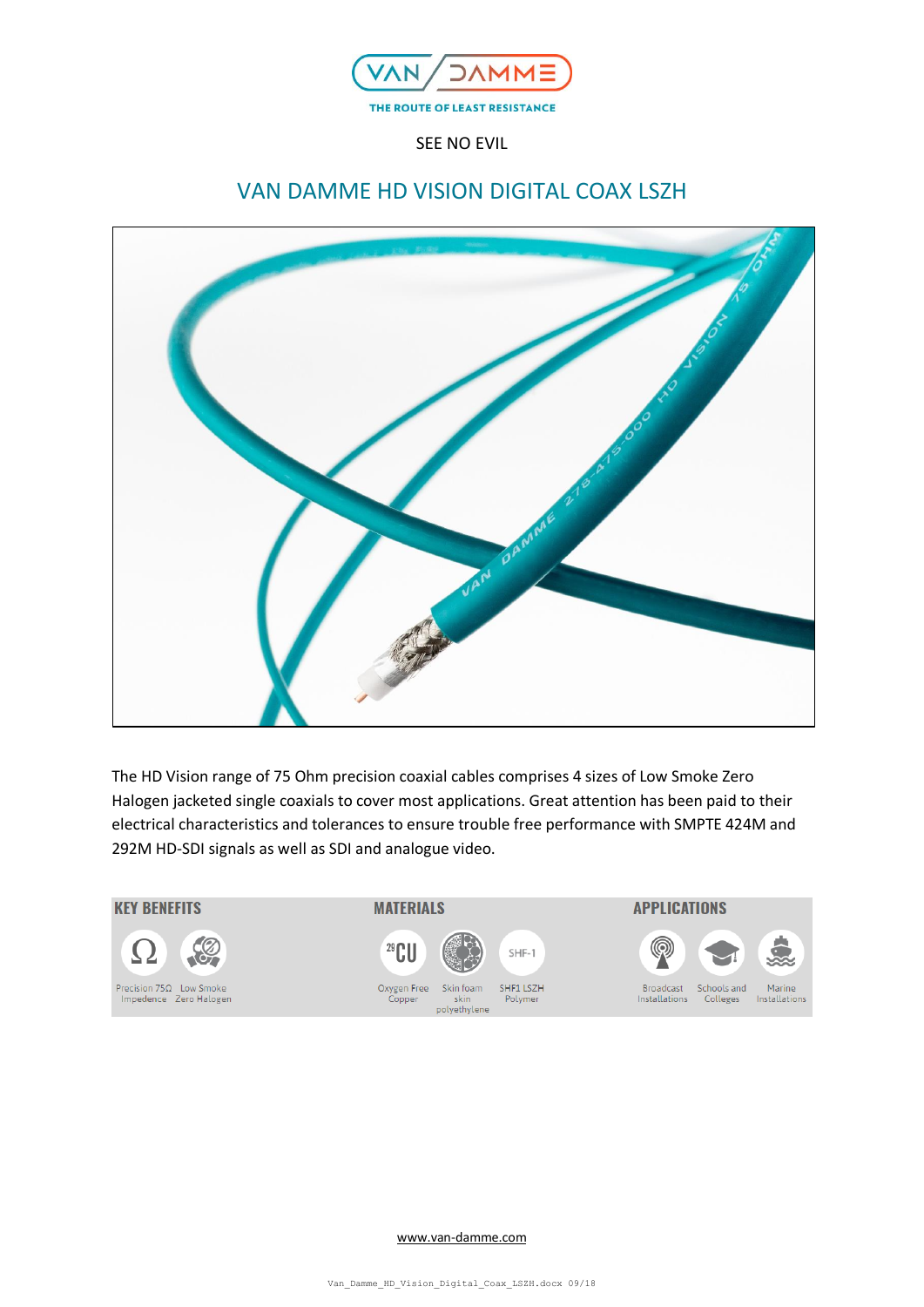

SEE NO EVIL

# VAN DAMME HD VISION DIGITAL COAX LSZH



The HD Vision range of 75 Ohm precision coaxial cables comprises 4 sizes of Low Smoke Zero Halogen jacketed single coaxials to cover most applications. Great attention has been paid to their electrical characteristics and tolerances to ensure trouble free performance with SMPTE 424M and 292M HD-SDI signals as well as SDI and analogue video.



[www.van-damme.com](http://www.van-damme.com/)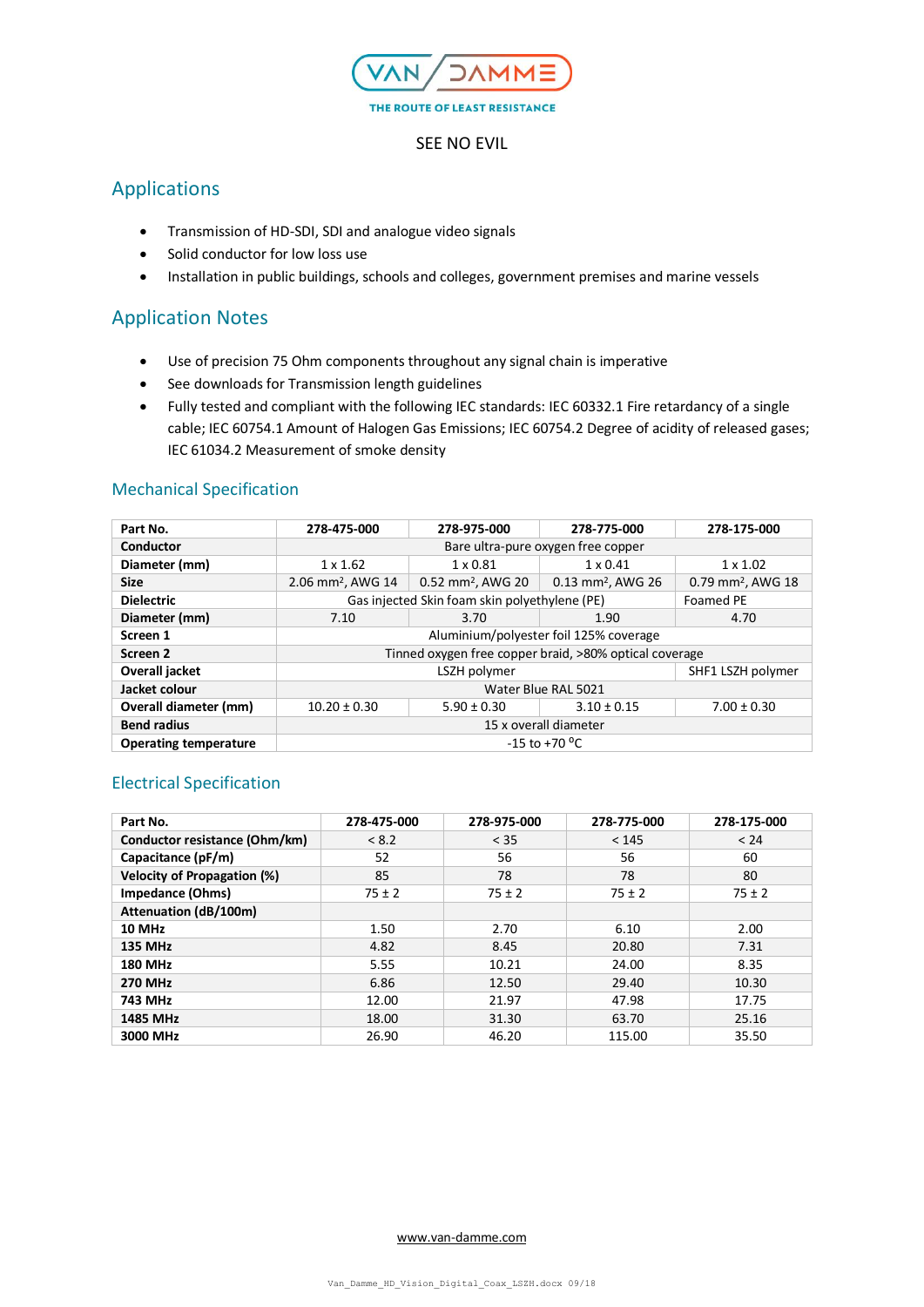

### SEE NO EVIL

# Applications

- Transmission of HD-SDI, SDI and analogue video signals
- Solid conductor for low loss use
- Installation in public buildings, schools and colleges, government premises and marine vessels

# Application Notes

- Use of precision 75 Ohm components throughout any signal chain is imperative
- See downloads for Transmission length guidelines
- Fully tested and compliant with the following IEC standards: IEC 60332.1 Fire retardancy of a single cable; IEC 60754.1 Amount of Halogen Gas Emissions; IEC 60754.2 Degree of acidity of released gases; IEC 61034.2 Measurement of smoke density

## Mechanical Specification

| Part No.                     | 278-475-000                                                       | 278-975-000                  | 278-775-000                   | 278-175-000                   |
|------------------------------|-------------------------------------------------------------------|------------------------------|-------------------------------|-------------------------------|
| Conductor                    | Bare ultra-pure oxygen free copper                                |                              |                               |                               |
| Diameter (mm)                | $1 \times 1.62$                                                   | $1 \times 0.81$              | $1 \times 0.41$               | $1 \times 1.02$               |
| <b>Size</b>                  | 2.06 mm <sup>2</sup> , AWG 14                                     | $0.52 \text{ mm}^2$ , AWG 20 | 0.13 mm <sup>2</sup> , AWG 26 | 0.79 mm <sup>2</sup> , AWG 18 |
| <b>Dielectric</b>            | Gas injected Skin foam skin polyethylene (PE)<br><b>Foamed PE</b> |                              |                               |                               |
| Diameter (mm)                | 7.10                                                              | 3.70                         | 1.90                          | 4.70                          |
| Screen 1                     | Aluminium/polyester foil 125% coverage                            |                              |                               |                               |
| Screen <sub>2</sub>          | Tinned oxygen free copper braid, >80% optical coverage            |                              |                               |                               |
| Overall jacket               | LSZH polymer                                                      |                              |                               | SHF1 LSZH polymer             |
| Jacket colour                | Water Blue RAL 5021                                               |                              |                               |                               |
| Overall diameter (mm)        | $10.20 \pm 0.30$                                                  | $5.90 \pm 0.30$              | $3.10 \pm 0.15$               | $7.00 \pm 0.30$               |
| <b>Bend radius</b>           | 15 x overall diameter                                             |                              |                               |                               |
| <b>Operating temperature</b> | -15 to +70 $^{\circ}$ C                                           |                              |                               |                               |

## Electrical Specification

| Part No.                           | 278-475-000 | 278-975-000 | 278-775-000 | 278-175-000 |
|------------------------------------|-------------|-------------|-------------|-------------|
| Conductor resistance (Ohm/km)      | < 8.2       | < 35        | < 145       | < 24        |
| Capacitance (pF/m)                 | 52          | 56          | 56          | 60          |
| <b>Velocity of Propagation (%)</b> | 85          | 78          | 78          | 80          |
| <b>Impedance (Ohms)</b>            | $75 \pm 2$  | $75 \pm 2$  | $75 \pm 2$  | $75 \pm 2$  |
| <b>Attenuation (dB/100m)</b>       |             |             |             |             |
| <b>10 MHz</b>                      | 1.50        | 2.70        | 6.10        | 2.00        |
| <b>135 MHz</b>                     | 4.82        | 8.45        | 20.80       | 7.31        |
| <b>180 MHz</b>                     | 5.55        | 10.21       | 24.00       | 8.35        |
| <b>270 MHz</b>                     | 6.86        | 12.50       | 29.40       | 10.30       |
| 743 MHz                            | 12.00       | 21.97       | 47.98       | 17.75       |
| <b>1485 MHz</b>                    | 18.00       | 31.30       | 63.70       | 25.16       |
| 3000 MHz                           | 26.90       | 46.20       | 115.00      | 35.50       |

#### [www.van-damme.com](http://www.van-damme.com/)